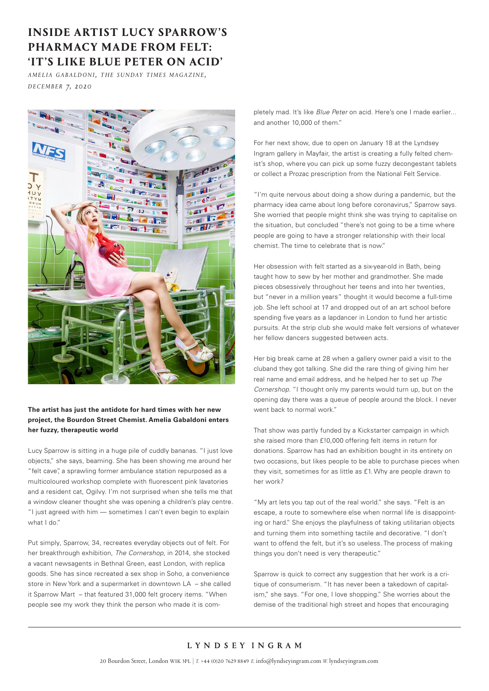## **INSIDE ARTIST LUCY SPARROW'S PHARMACY MADE FROM FELT: 'IT'S LIKE BLUE PETER ON ACID'**

*a m e l i a g a b a l d o n i , t h e s u n d ay t i m e s m a g a z i n e , d e c e m b e r 7, 2020* 



## **The artist has just the antidote for hard times with her new project, the Bourdon Street Chemist. Amelia Gabaldoni enters her fuzzy, therapeutic world**

Lucy Sparrow is sitting in a huge pile of cuddly bananas. "I just love objects," she says, beaming. She has been showing me around her "felt cave", a sprawling former ambulance station repurposed as a multicoloured workshop complete with fluorescent pink lavatories and a resident cat, Ogilvy. I'm not surprised when she tells me that a window cleaner thought she was opening a children's play centre. "I just agreed with him — sometimes I can't even begin to explain what I do."

Put simply, Sparrow, 34, recreates everyday objects out of felt. For her breakthrough exhibition, *The Cornershop*, in 2014, she stocked a vacant newsagents in Bethnal Green, east London, with replica goods. She has since recreated a sex shop in Soho, a convenience store in New York and a supermarket in downtown LA – she called it Sparrow Mart – that featured 31,000 felt grocery items. "When people see my work they think the person who made it is completely mad. lt's like *Blue Peter* on acid. Here's one I made earlier... and another 10,000 of them."

For her next show, due to open on January 18 at the Lyndsey Ingram gallery in Mayfair, the artist is creating a fully felted chemist's shop, where you can pick up some fuzzy decongestant tablets or collect a Prozac prescription from the National Felt Service.

"I'm quite nervous about doing a show during a pandemic, but the pharmacy idea came about long before coronavirus," Sparrow says. She worried that people might think she was trying to capitalise on the situation, but concluded "there's not going to be a time where people are going to have a stronger relationship with their local chemist. The time to celebrate that is now."

Her obsession with felt started as a six-year-old in Bath, being taught how to sew by her mother and grandmother. She made pieces obsessively throughout her teens and into her twenties, but "never in a million years" thought it would become a full-time job. She left school at 17 and dropped out of an art school before spending five years as a lapdancer in London to fund her artistic pursuits. At the strip club she would make felt versions of whatever her fellow dancers suggested between acts.

Her big break came at 28 when a gallery owner paid a visit to the cluband they got talking. She did the rare thing of giving him her real name and email address, and he helped her to set up *The Cornershop*. "I thought only my parents would turn up, but on the opening day there was a queue of people around the block. I never went back to normal work."

That show was partly funded by a Kickstarter campaign in which she raised more than £!0,000 offering felt items in return for donations. Sparrow has had an exhibition bought in its entirety on two occasions, but likes people to be able to purchase pieces when they visit, sometimes for as little as £1. Why are people drawn to her work?

"My art lets you tap out of the real world." she says. "Felt is an escape, a route to somewhere else when normal life is disappointing or hard." She enjoys the playfulness of taking utilitarian objects and turning them into something tactile and decorative. "I don't want to offend the felt, but it's so useless. The process of making things you don't need is very therapeutic."

Sparrow is quick to correct any suggestion that her work is a critique of consumerism. "It has never been a takedown of capitalism," she says. "For one, I love shopping." She worries about the demise of the traditional high street and hopes that encouraging